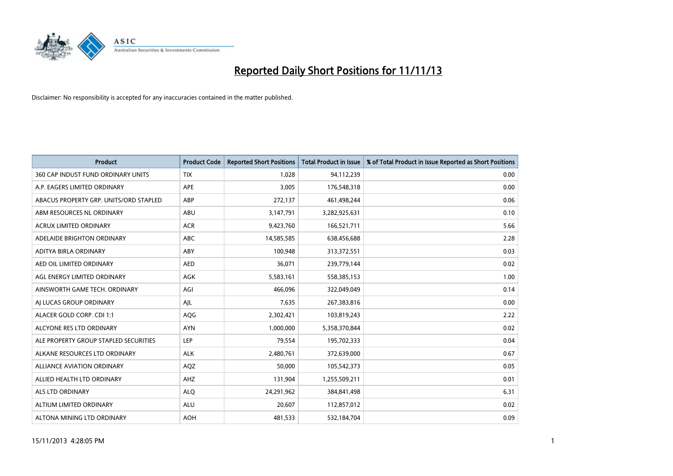

| <b>Product</b>                         | <b>Product Code</b> | <b>Reported Short Positions</b> | Total Product in Issue | % of Total Product in Issue Reported as Short Positions |
|----------------------------------------|---------------------|---------------------------------|------------------------|---------------------------------------------------------|
| 360 CAP INDUST FUND ORDINARY UNITS     | <b>TIX</b>          | 1,028                           | 94,112,239             | 0.00                                                    |
| A.P. EAGERS LIMITED ORDINARY           | APE                 | 3,005                           | 176,548,318            | 0.00                                                    |
| ABACUS PROPERTY GRP. UNITS/ORD STAPLED | ABP                 | 272,137                         | 461,498,244            | 0.06                                                    |
| ABM RESOURCES NL ORDINARY              | ABU                 | 3,147,791                       | 3,282,925,631          | 0.10                                                    |
| <b>ACRUX LIMITED ORDINARY</b>          | <b>ACR</b>          | 9,423,760                       | 166,521,711            | 5.66                                                    |
| ADELAIDE BRIGHTON ORDINARY             | <b>ABC</b>          | 14,585,585                      | 638,456,688            | 2.28                                                    |
| ADITYA BIRLA ORDINARY                  | ABY                 | 100.948                         | 313,372,551            | 0.03                                                    |
| AED OIL LIMITED ORDINARY               | <b>AED</b>          | 36,071                          | 239,779,144            | 0.02                                                    |
| AGL ENERGY LIMITED ORDINARY            | AGK                 | 5,583,161                       | 558,385,153            | 1.00                                                    |
| AINSWORTH GAME TECH. ORDINARY          | AGI                 | 466,096                         | 322,049,049            | 0.14                                                    |
| AI LUCAS GROUP ORDINARY                | AJL                 | 7,635                           | 267,383,816            | 0.00                                                    |
| ALACER GOLD CORP. CDI 1:1              | AQG                 | 2,302,421                       | 103,819,243            | 2.22                                                    |
| ALCYONE RES LTD ORDINARY               | <b>AYN</b>          | 1,000,000                       | 5,358,370,844          | 0.02                                                    |
| ALE PROPERTY GROUP STAPLED SECURITIES  | <b>LEP</b>          | 79,554                          | 195,702,333            | 0.04                                                    |
| ALKANE RESOURCES LTD ORDINARY          | <b>ALK</b>          | 2,480,761                       | 372,639,000            | 0.67                                                    |
| <b>ALLIANCE AVIATION ORDINARY</b>      | AQZ                 | 50,000                          | 105,542,373            | 0.05                                                    |
| ALLIED HEALTH LTD ORDINARY             | AHZ                 | 131,904                         | 1,255,509,211          | 0.01                                                    |
| ALS LTD ORDINARY                       | <b>ALO</b>          | 24,291,962                      | 384, 841, 498          | 6.31                                                    |
| ALTIUM LIMITED ORDINARY                | <b>ALU</b>          | 20,607                          | 112,857,012            | 0.02                                                    |
| ALTONA MINING LTD ORDINARY             | <b>AOH</b>          | 481,533                         | 532,184,704            | 0.09                                                    |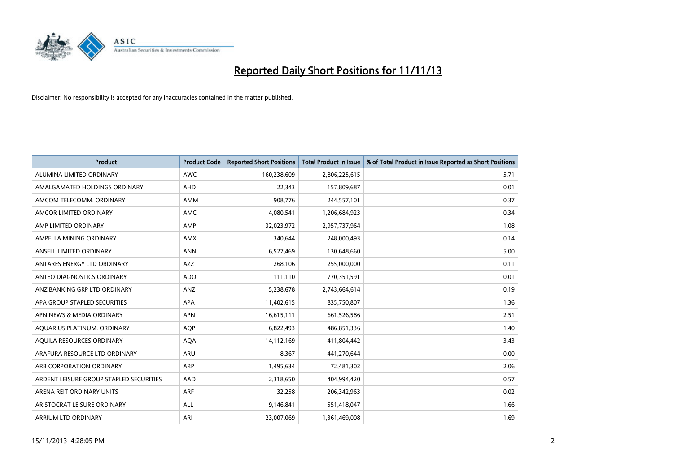

| <b>Product</b>                          | <b>Product Code</b> | <b>Reported Short Positions</b> | <b>Total Product in Issue</b> | % of Total Product in Issue Reported as Short Positions |
|-----------------------------------------|---------------------|---------------------------------|-------------------------------|---------------------------------------------------------|
| ALUMINA LIMITED ORDINARY                | <b>AWC</b>          | 160,238,609                     | 2,806,225,615                 | 5.71                                                    |
| AMALGAMATED HOLDINGS ORDINARY           | AHD                 | 22,343                          | 157,809,687                   | 0.01                                                    |
| AMCOM TELECOMM, ORDINARY                | AMM                 | 908,776                         | 244,557,101                   | 0.37                                                    |
| AMCOR LIMITED ORDINARY                  | AMC                 | 4,080,541                       | 1,206,684,923                 | 0.34                                                    |
| AMP LIMITED ORDINARY                    | AMP                 | 32,023,972                      | 2,957,737,964                 | 1.08                                                    |
| AMPELLA MINING ORDINARY                 | <b>AMX</b>          | 340,644                         | 248,000,493                   | 0.14                                                    |
| ANSELL LIMITED ORDINARY                 | <b>ANN</b>          | 6,527,469                       | 130,648,660                   | 5.00                                                    |
| ANTARES ENERGY LTD ORDINARY             | AZZ                 | 268,106                         | 255,000,000                   | 0.11                                                    |
| ANTEO DIAGNOSTICS ORDINARY              | <b>ADO</b>          | 111,110                         | 770,351,591                   | 0.01                                                    |
| ANZ BANKING GRP LTD ORDINARY            | ANZ                 | 5,238,678                       | 2,743,664,614                 | 0.19                                                    |
| APA GROUP STAPLED SECURITIES            | APA                 | 11,402,615                      | 835,750,807                   | 1.36                                                    |
| APN NEWS & MEDIA ORDINARY               | <b>APN</b>          | 16,615,111                      | 661,526,586                   | 2.51                                                    |
| AQUARIUS PLATINUM. ORDINARY             | <b>AOP</b>          | 6,822,493                       | 486,851,336                   | 1.40                                                    |
| AQUILA RESOURCES ORDINARY               | <b>AQA</b>          | 14,112,169                      | 411,804,442                   | 3.43                                                    |
| ARAFURA RESOURCE LTD ORDINARY           | <b>ARU</b>          | 8,367                           | 441,270,644                   | 0.00                                                    |
| ARB CORPORATION ORDINARY                | ARP                 | 1,495,634                       | 72,481,302                    | 2.06                                                    |
| ARDENT LEISURE GROUP STAPLED SECURITIES | AAD                 | 2,318,650                       | 404,994,420                   | 0.57                                                    |
| ARENA REIT ORDINARY UNITS               | <b>ARF</b>          | 32,258                          | 206,342,963                   | 0.02                                                    |
| ARISTOCRAT LEISURE ORDINARY             | ALL                 | 9,146,841                       | 551,418,047                   | 1.66                                                    |
| ARRIUM LTD ORDINARY                     | ARI                 | 23,007,069                      | 1,361,469,008                 | 1.69                                                    |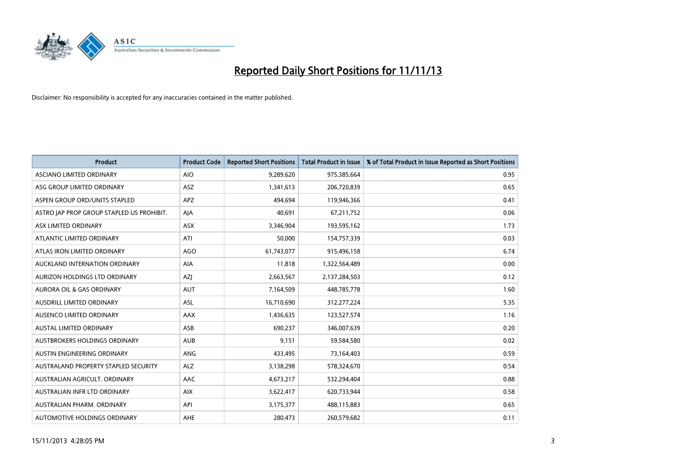

| <b>Product</b>                            | <b>Product Code</b> | <b>Reported Short Positions</b> | <b>Total Product in Issue</b> | % of Total Product in Issue Reported as Short Positions |
|-------------------------------------------|---------------------|---------------------------------|-------------------------------|---------------------------------------------------------|
| ASCIANO LIMITED ORDINARY                  | <b>AIO</b>          | 9,289,620                       | 975,385,664                   | 0.95                                                    |
| ASG GROUP LIMITED ORDINARY                | ASZ                 | 1,341,613                       | 206,720,839                   | 0.65                                                    |
| ASPEN GROUP ORD/UNITS STAPLED             | APZ                 | 494.694                         | 119,946,366                   | 0.41                                                    |
| ASTRO JAP PROP GROUP STAPLED US PROHIBIT. | AJA                 | 40,691                          | 67,211,752                    | 0.06                                                    |
| ASX LIMITED ORDINARY                      | ASX                 | 3,346,904                       | 193,595,162                   | 1.73                                                    |
| ATLANTIC LIMITED ORDINARY                 | ATI                 | 50,000                          | 154,757,339                   | 0.03                                                    |
| ATLAS IRON LIMITED ORDINARY               | <b>AGO</b>          | 61,743,077                      | 915,496,158                   | 6.74                                                    |
| AUCKLAND INTERNATION ORDINARY             | AIA                 | 11,818                          | 1,322,564,489                 | 0.00                                                    |
| AURIZON HOLDINGS LTD ORDINARY             | AZJ                 | 2,663,567                       | 2,137,284,503                 | 0.12                                                    |
| <b>AURORA OIL &amp; GAS ORDINARY</b>      | <b>AUT</b>          | 7,164,509                       | 448,785,778                   | 1.60                                                    |
| AUSDRILL LIMITED ORDINARY                 | <b>ASL</b>          | 16,710,690                      | 312,277,224                   | 5.35                                                    |
| AUSENCO LIMITED ORDINARY                  | AAX                 | 1,436,635                       | 123,527,574                   | 1.16                                                    |
| AUSTAL LIMITED ORDINARY                   | ASB                 | 690,237                         | 346,007,639                   | 0.20                                                    |
| AUSTBROKERS HOLDINGS ORDINARY             | <b>AUB</b>          | 9,151                           | 59,584,580                    | 0.02                                                    |
| AUSTIN ENGINEERING ORDINARY               | ANG                 | 433,495                         | 73,164,403                    | 0.59                                                    |
| AUSTRALAND PROPERTY STAPLED SECURITY      | <b>ALZ</b>          | 3,138,298                       | 578,324,670                   | 0.54                                                    |
| AUSTRALIAN AGRICULT, ORDINARY             | AAC                 | 4,673,217                       | 532,294,404                   | 0.88                                                    |
| AUSTRALIAN INFR LTD ORDINARY              | <b>AIX</b>          | 3,622,417                       | 620,733,944                   | 0.58                                                    |
| AUSTRALIAN PHARM, ORDINARY                | API                 | 3,175,377                       | 488,115,883                   | 0.65                                                    |
| AUTOMOTIVE HOLDINGS ORDINARY              | AHE                 | 280,473                         | 260,579,682                   | 0.11                                                    |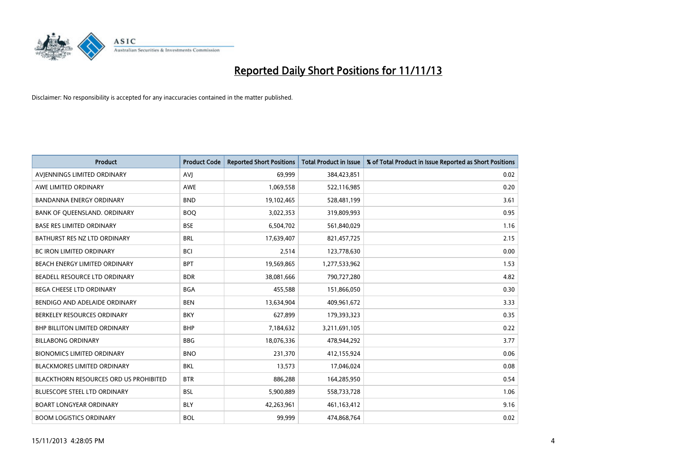

| <b>Product</b>                         | <b>Product Code</b> | <b>Reported Short Positions</b> | <b>Total Product in Issue</b> | % of Total Product in Issue Reported as Short Positions |
|----------------------------------------|---------------------|---------------------------------|-------------------------------|---------------------------------------------------------|
| AVIENNINGS LIMITED ORDINARY            | <b>AVJ</b>          | 69,999                          | 384,423,851                   | 0.02                                                    |
| AWE LIMITED ORDINARY                   | AWE                 | 1,069,558                       | 522,116,985                   | 0.20                                                    |
| <b>BANDANNA ENERGY ORDINARY</b>        | <b>BND</b>          | 19,102,465                      | 528,481,199                   | 3.61                                                    |
| BANK OF QUEENSLAND. ORDINARY           | <b>BOQ</b>          | 3,022,353                       | 319,809,993                   | 0.95                                                    |
| <b>BASE RES LIMITED ORDINARY</b>       | <b>BSE</b>          | 6,504,702                       | 561,840,029                   | 1.16                                                    |
| BATHURST RES NZ LTD ORDINARY           | <b>BRL</b>          | 17,639,407                      | 821,457,725                   | 2.15                                                    |
| <b>BC IRON LIMITED ORDINARY</b>        | <b>BCI</b>          | 2,514                           | 123,778,630                   | 0.00                                                    |
| BEACH ENERGY LIMITED ORDINARY          | <b>BPT</b>          | 19,569,865                      | 1,277,533,962                 | 1.53                                                    |
| BEADELL RESOURCE LTD ORDINARY          | <b>BDR</b>          | 38,081,666                      | 790,727,280                   | 4.82                                                    |
| <b>BEGA CHEESE LTD ORDINARY</b>        | <b>BGA</b>          | 455,588                         | 151,866,050                   | 0.30                                                    |
| BENDIGO AND ADELAIDE ORDINARY          | <b>BEN</b>          | 13,634,904                      | 409,961,672                   | 3.33                                                    |
| BERKELEY RESOURCES ORDINARY            | <b>BKY</b>          | 627,899                         | 179,393,323                   | 0.35                                                    |
| <b>BHP BILLITON LIMITED ORDINARY</b>   | <b>BHP</b>          | 7,184,632                       | 3,211,691,105                 | 0.22                                                    |
| <b>BILLABONG ORDINARY</b>              | <b>BBG</b>          | 18,076,336                      | 478,944,292                   | 3.77                                                    |
| <b>BIONOMICS LIMITED ORDINARY</b>      | <b>BNO</b>          | 231,370                         | 412,155,924                   | 0.06                                                    |
| <b>BLACKMORES LIMITED ORDINARY</b>     | <b>BKL</b>          | 13,573                          | 17,046,024                    | 0.08                                                    |
| BLACKTHORN RESOURCES ORD US PROHIBITED | <b>BTR</b>          | 886,288                         | 164,285,950                   | 0.54                                                    |
| BLUESCOPE STEEL LTD ORDINARY           | <b>BSL</b>          | 5,900,889                       | 558,733,728                   | 1.06                                                    |
| <b>BOART LONGYEAR ORDINARY</b>         | <b>BLY</b>          | 42,263,961                      | 461,163,412                   | 9.16                                                    |
| <b>BOOM LOGISTICS ORDINARY</b>         | <b>BOL</b>          | 99,999                          | 474,868,764                   | 0.02                                                    |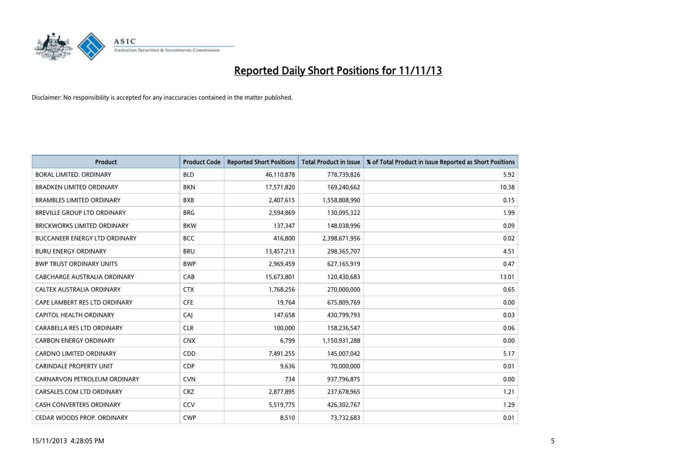

| <b>Product</b>                       | <b>Product Code</b> | <b>Reported Short Positions</b> | <b>Total Product in Issue</b> | % of Total Product in Issue Reported as Short Positions |
|--------------------------------------|---------------------|---------------------------------|-------------------------------|---------------------------------------------------------|
| <b>BORAL LIMITED, ORDINARY</b>       | <b>BLD</b>          | 46,110,878                      | 778,739,826                   | 5.92                                                    |
| <b>BRADKEN LIMITED ORDINARY</b>      | <b>BKN</b>          | 17,571,820                      | 169,240,662                   | 10.38                                                   |
| <b>BRAMBLES LIMITED ORDINARY</b>     | <b>BXB</b>          | 2,407,615                       | 1,558,808,990                 | 0.15                                                    |
| BREVILLE GROUP LTD ORDINARY          | <b>BRG</b>          | 2,594,869                       | 130,095,322                   | 1.99                                                    |
| <b>BRICKWORKS LIMITED ORDINARY</b>   | <b>BKW</b>          | 137,347                         | 148,038,996                   | 0.09                                                    |
| <b>BUCCANEER ENERGY LTD ORDINARY</b> | <b>BCC</b>          | 416,800                         | 2,398,671,956                 | 0.02                                                    |
| <b>BURU ENERGY ORDINARY</b>          | <b>BRU</b>          | 13,457,213                      | 298,365,707                   | 4.51                                                    |
| <b>BWP TRUST ORDINARY UNITS</b>      | <b>BWP</b>          | 2,969,459                       | 627,165,919                   | 0.47                                                    |
| CABCHARGE AUSTRALIA ORDINARY         | CAB                 | 15,673,801                      | 120,430,683                   | 13.01                                                   |
| CALTEX AUSTRALIA ORDINARY            | <b>CTX</b>          | 1,768,256                       | 270,000,000                   | 0.65                                                    |
| CAPE LAMBERT RES LTD ORDINARY        | <b>CFE</b>          | 19,764                          | 675,809,769                   | 0.00                                                    |
| CAPITOL HEALTH ORDINARY              | <b>CAJ</b>          | 147,658                         | 430,799,793                   | 0.03                                                    |
| CARABELLA RES LTD ORDINARY           | <b>CLR</b>          | 100,000                         | 158,236,547                   | 0.06                                                    |
| <b>CARBON ENERGY ORDINARY</b>        | <b>CNX</b>          | 6,799                           | 1,150,931,288                 | 0.00                                                    |
| <b>CARDNO LIMITED ORDINARY</b>       | CDD                 | 7,491,255                       | 145,007,042                   | 5.17                                                    |
| CARINDALE PROPERTY UNIT              | <b>CDP</b>          | 9,636                           | 70,000,000                    | 0.01                                                    |
| CARNARVON PETROLEUM ORDINARY         | <b>CVN</b>          | 734                             | 937,796,875                   | 0.00                                                    |
| CARSALES.COM LTD ORDINARY            | <b>CRZ</b>          | 2,877,895                       | 237,678,965                   | 1.21                                                    |
| <b>CASH CONVERTERS ORDINARY</b>      | CCV                 | 5,519,775                       | 426,302,767                   | 1.29                                                    |
| CEDAR WOODS PROP. ORDINARY           | <b>CWP</b>          | 8,510                           | 73,732,683                    | 0.01                                                    |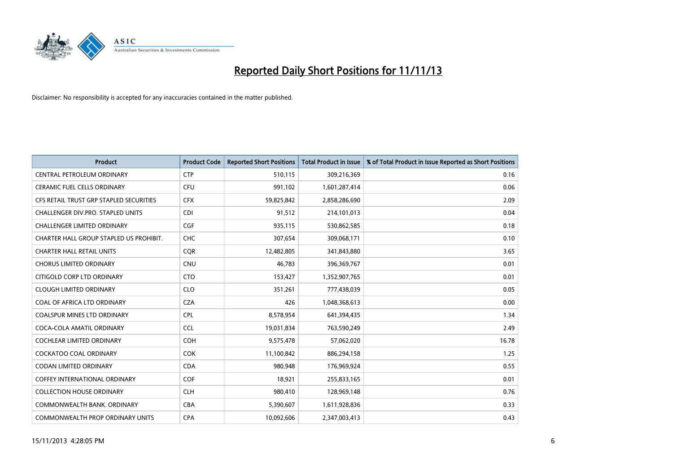

| <b>Product</b>                          | <b>Product Code</b> | <b>Reported Short Positions</b> | <b>Total Product in Issue</b> | % of Total Product in Issue Reported as Short Positions |
|-----------------------------------------|---------------------|---------------------------------|-------------------------------|---------------------------------------------------------|
| CENTRAL PETROLEUM ORDINARY              | <b>CTP</b>          | 510,115                         | 309,216,369                   | 0.16                                                    |
| CERAMIC FUEL CELLS ORDINARY             | <b>CFU</b>          | 991,102                         | 1,601,287,414                 | 0.06                                                    |
| CFS RETAIL TRUST GRP STAPLED SECURITIES | <b>CFX</b>          | 59,825,842                      | 2,858,286,690                 | 2.09                                                    |
| CHALLENGER DIV.PRO. STAPLED UNITS       | <b>CDI</b>          | 91,512                          | 214,101,013                   | 0.04                                                    |
| <b>CHALLENGER LIMITED ORDINARY</b>      | <b>CGF</b>          | 935,115                         | 530,862,585                   | 0.18                                                    |
| CHARTER HALL GROUP STAPLED US PROHIBIT. | <b>CHC</b>          | 307,654                         | 309,068,171                   | 0.10                                                    |
| <b>CHARTER HALL RETAIL UNITS</b>        | <b>COR</b>          | 12,482,805                      | 341,843,880                   | 3.65                                                    |
| <b>CHORUS LIMITED ORDINARY</b>          | <b>CNU</b>          | 46,783                          | 396,369,767                   | 0.01                                                    |
| CITIGOLD CORP LTD ORDINARY              | <b>CTO</b>          | 153,427                         | 1,352,907,765                 | 0.01                                                    |
| <b>CLOUGH LIMITED ORDINARY</b>          | <b>CLO</b>          | 351,261                         | 777,438,039                   | 0.05                                                    |
| COAL OF AFRICA LTD ORDINARY             | <b>CZA</b>          | 426                             | 1,048,368,613                 | 0.00                                                    |
| <b>COALSPUR MINES LTD ORDINARY</b>      | <b>CPL</b>          | 8,578,954                       | 641,394,435                   | 1.34                                                    |
| COCA-COLA AMATIL ORDINARY               | <b>CCL</b>          | 19,031,834                      | 763,590,249                   | 2.49                                                    |
| COCHLEAR LIMITED ORDINARY               | <b>COH</b>          | 9,575,478                       | 57,062,020                    | 16.78                                                   |
| <b>COCKATOO COAL ORDINARY</b>           | <b>COK</b>          | 11,100,842                      | 886,294,158                   | 1.25                                                    |
| CODAN LIMITED ORDINARY                  | <b>CDA</b>          | 980,948                         | 176,969,924                   | 0.55                                                    |
| COFFEY INTERNATIONAL ORDINARY           | <b>COF</b>          | 18,921                          | 255,833,165                   | 0.01                                                    |
| <b>COLLECTION HOUSE ORDINARY</b>        | <b>CLH</b>          | 980,410                         | 128,969,148                   | 0.76                                                    |
| COMMONWEALTH BANK, ORDINARY             | <b>CBA</b>          | 5,390,607                       | 1,611,928,836                 | 0.33                                                    |
| COMMONWEALTH PROP ORDINARY UNITS        | <b>CPA</b>          | 10,092,606                      | 2,347,003,413                 | 0.43                                                    |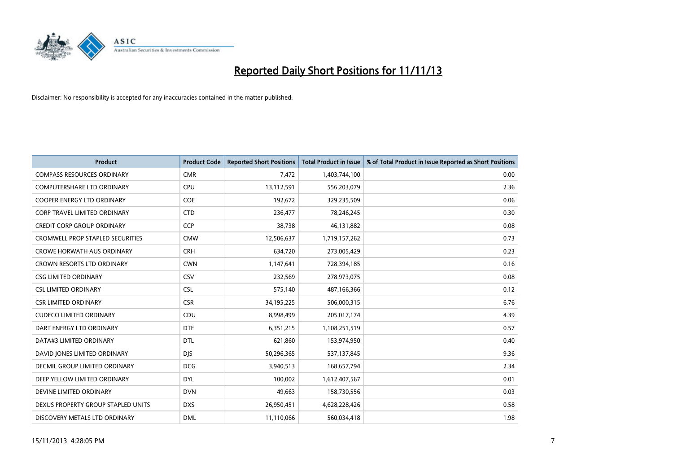

| <b>Product</b>                          | <b>Product Code</b> | <b>Reported Short Positions</b> | Total Product in Issue | % of Total Product in Issue Reported as Short Positions |
|-----------------------------------------|---------------------|---------------------------------|------------------------|---------------------------------------------------------|
| <b>COMPASS RESOURCES ORDINARY</b>       | <b>CMR</b>          | 7,472                           | 1,403,744,100          | 0.00                                                    |
| COMPUTERSHARE LTD ORDINARY              | <b>CPU</b>          | 13,112,591                      | 556,203,079            | 2.36                                                    |
| <b>COOPER ENERGY LTD ORDINARY</b>       | <b>COE</b>          | 192,672                         | 329,235,509            | 0.06                                                    |
| CORP TRAVEL LIMITED ORDINARY            | <b>CTD</b>          | 236,477                         | 78,246,245             | 0.30                                                    |
| <b>CREDIT CORP GROUP ORDINARY</b>       | <b>CCP</b>          | 38,738                          | 46,131,882             | 0.08                                                    |
| <b>CROMWELL PROP STAPLED SECURITIES</b> | <b>CMW</b>          | 12,506,637                      | 1,719,157,262          | 0.73                                                    |
| <b>CROWE HORWATH AUS ORDINARY</b>       | <b>CRH</b>          | 634,720                         | 273,005,429            | 0.23                                                    |
| CROWN RESORTS LTD ORDINARY              | <b>CWN</b>          | 1,147,641                       | 728,394,185            | 0.16                                                    |
| <b>CSG LIMITED ORDINARY</b>             | CSV                 | 232,569                         | 278,973,075            | 0.08                                                    |
| <b>CSL LIMITED ORDINARY</b>             | <b>CSL</b>          | 575,140                         | 487,166,366            | 0.12                                                    |
| <b>CSR LIMITED ORDINARY</b>             | <b>CSR</b>          | 34,195,225                      | 506,000,315            | 6.76                                                    |
| <b>CUDECO LIMITED ORDINARY</b>          | CDU                 | 8,998,499                       | 205,017,174            | 4.39                                                    |
| DART ENERGY LTD ORDINARY                | <b>DTE</b>          | 6,351,215                       | 1,108,251,519          | 0.57                                                    |
| DATA#3 LIMITED ORDINARY                 | <b>DTL</b>          | 621,860                         | 153,974,950            | 0.40                                                    |
| DAVID JONES LIMITED ORDINARY            | <b>DJS</b>          | 50,296,365                      | 537,137,845            | 9.36                                                    |
| DECMIL GROUP LIMITED ORDINARY           | <b>DCG</b>          | 3,940,513                       | 168,657,794            | 2.34                                                    |
| DEEP YELLOW LIMITED ORDINARY            | <b>DYL</b>          | 100,002                         | 1,612,407,567          | 0.01                                                    |
| DEVINE LIMITED ORDINARY                 | <b>DVN</b>          | 49,663                          | 158,730,556            | 0.03                                                    |
| DEXUS PROPERTY GROUP STAPLED UNITS      | <b>DXS</b>          | 26,950,451                      | 4,628,228,426          | 0.58                                                    |
| DISCOVERY METALS LTD ORDINARY           | <b>DML</b>          | 11,110,066                      | 560,034,418            | 1.98                                                    |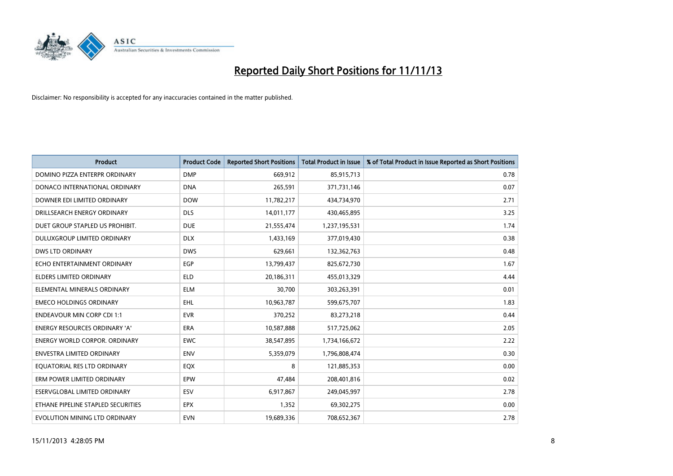

| <b>Product</b>                       | <b>Product Code</b> | <b>Reported Short Positions</b> | <b>Total Product in Issue</b> | % of Total Product in Issue Reported as Short Positions |
|--------------------------------------|---------------------|---------------------------------|-------------------------------|---------------------------------------------------------|
| DOMINO PIZZA ENTERPR ORDINARY        | <b>DMP</b>          | 669,912                         | 85,915,713                    | 0.78                                                    |
| DONACO INTERNATIONAL ORDINARY        | <b>DNA</b>          | 265,591                         | 371,731,146                   | 0.07                                                    |
| DOWNER EDI LIMITED ORDINARY          | <b>DOW</b>          | 11,782,217                      | 434,734,970                   | 2.71                                                    |
| DRILLSEARCH ENERGY ORDINARY          | <b>DLS</b>          | 14,011,177                      | 430,465,895                   | 3.25                                                    |
| DUET GROUP STAPLED US PROHIBIT.      | <b>DUE</b>          | 21,555,474                      | 1,237,195,531                 | 1.74                                                    |
| <b>DULUXGROUP LIMITED ORDINARY</b>   | <b>DLX</b>          | 1,433,169                       | 377,019,430                   | 0.38                                                    |
| DWS LTD ORDINARY                     | <b>DWS</b>          | 629,661                         | 132,362,763                   | 0.48                                                    |
| ECHO ENTERTAINMENT ORDINARY          | <b>EGP</b>          | 13,799,437                      | 825,672,730                   | 1.67                                                    |
| <b>ELDERS LIMITED ORDINARY</b>       | <b>ELD</b>          | 20,186,311                      | 455,013,329                   | 4.44                                                    |
| ELEMENTAL MINERALS ORDINARY          | <b>ELM</b>          | 30,700                          | 303,263,391                   | 0.01                                                    |
| <b>EMECO HOLDINGS ORDINARY</b>       | <b>EHL</b>          | 10,963,787                      | 599,675,707                   | 1.83                                                    |
| <b>ENDEAVOUR MIN CORP CDI 1:1</b>    | <b>EVR</b>          | 370,252                         | 83,273,218                    | 0.44                                                    |
| ENERGY RESOURCES ORDINARY 'A'        | <b>ERA</b>          | 10,587,888                      | 517,725,062                   | 2.05                                                    |
| <b>ENERGY WORLD CORPOR, ORDINARY</b> | <b>EWC</b>          | 38,547,895                      | 1,734,166,672                 | 2.22                                                    |
| <b>ENVESTRA LIMITED ORDINARY</b>     | <b>ENV</b>          | 5,359,079                       | 1,796,808,474                 | 0.30                                                    |
| EQUATORIAL RES LTD ORDINARY          | EQX                 | 8                               | 121,885,353                   | 0.00                                                    |
| ERM POWER LIMITED ORDINARY           | EPW                 | 47,484                          | 208,401,816                   | 0.02                                                    |
| <b>ESERVGLOBAL LIMITED ORDINARY</b>  | <b>ESV</b>          | 6,917,867                       | 249,045,997                   | 2.78                                                    |
| ETHANE PIPELINE STAPLED SECURITIES   | <b>EPX</b>          | 1,352                           | 69,302,275                    | 0.00                                                    |
| EVOLUTION MINING LTD ORDINARY        | <b>EVN</b>          | 19,689,336                      | 708,652,367                   | 2.78                                                    |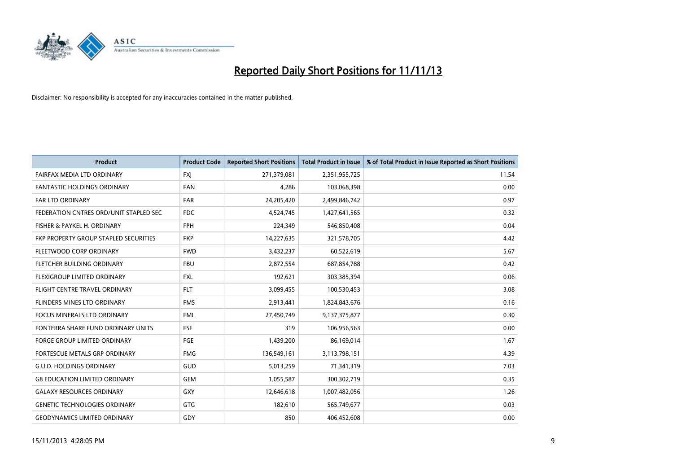

| Product                                | <b>Product Code</b> | <b>Reported Short Positions</b> | <b>Total Product in Issue</b> | % of Total Product in Issue Reported as Short Positions |
|----------------------------------------|---------------------|---------------------------------|-------------------------------|---------------------------------------------------------|
| FAIRFAX MEDIA LTD ORDINARY             | <b>FXJ</b>          | 271,379,081                     | 2,351,955,725                 | 11.54                                                   |
| <b>FANTASTIC HOLDINGS ORDINARY</b>     | <b>FAN</b>          | 4,286                           | 103,068,398                   | 0.00                                                    |
| <b>FAR LTD ORDINARY</b>                | <b>FAR</b>          | 24,205,420                      | 2,499,846,742                 | 0.97                                                    |
| FEDERATION CNTRES ORD/UNIT STAPLED SEC | <b>FDC</b>          | 4,524,745                       | 1,427,641,565                 | 0.32                                                    |
| FISHER & PAYKEL H. ORDINARY            | <b>FPH</b>          | 224,349                         | 546,850,408                   | 0.04                                                    |
| FKP PROPERTY GROUP STAPLED SECURITIES  | <b>FKP</b>          | 14,227,635                      | 321,578,705                   | 4.42                                                    |
| FLEETWOOD CORP ORDINARY                | <b>FWD</b>          | 3,432,237                       | 60,522,619                    | 5.67                                                    |
| FLETCHER BUILDING ORDINARY             | <b>FBU</b>          | 2,872,554                       | 687,854,788                   | 0.42                                                    |
| FLEXIGROUP LIMITED ORDINARY            | <b>FXL</b>          | 192,621                         | 303,385,394                   | 0.06                                                    |
| FLIGHT CENTRE TRAVEL ORDINARY          | <b>FLT</b>          | 3,099,455                       | 100,530,453                   | 3.08                                                    |
| FLINDERS MINES LTD ORDINARY            | <b>FMS</b>          | 2,913,441                       | 1,824,843,676                 | 0.16                                                    |
| <b>FOCUS MINERALS LTD ORDINARY</b>     | <b>FML</b>          | 27,450,749                      | 9,137,375,877                 | 0.30                                                    |
| FONTERRA SHARE FUND ORDINARY UNITS     | <b>FSF</b>          | 319                             | 106,956,563                   | 0.00                                                    |
| <b>FORGE GROUP LIMITED ORDINARY</b>    | <b>FGE</b>          | 1,439,200                       | 86,169,014                    | 1.67                                                    |
| FORTESCUE METALS GRP ORDINARY          | <b>FMG</b>          | 136,549,161                     | 3,113,798,151                 | 4.39                                                    |
| <b>G.U.D. HOLDINGS ORDINARY</b>        | GUD                 | 5,013,259                       | 71,341,319                    | 7.03                                                    |
| <b>G8 EDUCATION LIMITED ORDINARY</b>   | <b>GEM</b>          | 1,055,587                       | 300,302,719                   | 0.35                                                    |
| <b>GALAXY RESOURCES ORDINARY</b>       | <b>GXY</b>          | 12,646,618                      | 1,007,482,056                 | 1.26                                                    |
| <b>GENETIC TECHNOLOGIES ORDINARY</b>   | <b>GTG</b>          | 182,610                         | 565,749,677                   | 0.03                                                    |
| <b>GEODYNAMICS LIMITED ORDINARY</b>    | GDY                 | 850                             | 406,452,608                   | 0.00                                                    |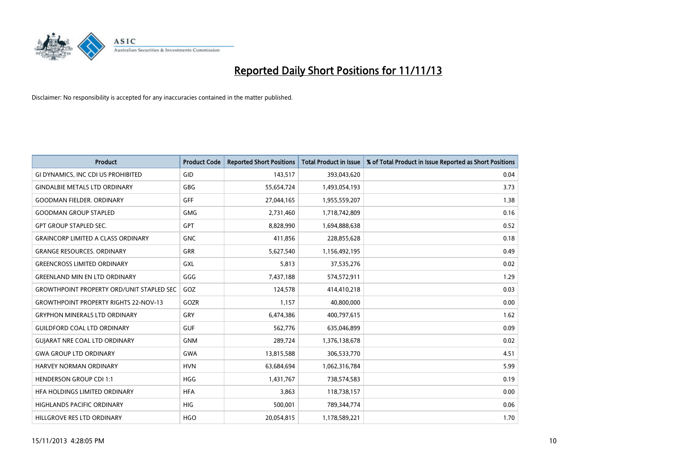

| Product                                          | <b>Product Code</b> | <b>Reported Short Positions</b> | <b>Total Product in Issue</b> | % of Total Product in Issue Reported as Short Positions |
|--------------------------------------------------|---------------------|---------------------------------|-------------------------------|---------------------------------------------------------|
| GI DYNAMICS, INC CDI US PROHIBITED               | GID                 | 143,517                         | 393,043,620                   | 0.04                                                    |
| <b>GINDALBIE METALS LTD ORDINARY</b>             | GBG                 | 55,654,724                      | 1,493,054,193                 | 3.73                                                    |
| <b>GOODMAN FIELDER, ORDINARY</b>                 | <b>GFF</b>          | 27,044,165                      | 1,955,559,207                 | 1.38                                                    |
| <b>GOODMAN GROUP STAPLED</b>                     | <b>GMG</b>          | 2,731,460                       | 1,718,742,809                 | 0.16                                                    |
| <b>GPT GROUP STAPLED SEC.</b>                    | GPT                 | 8,828,990                       | 1,694,888,638                 | 0.52                                                    |
| <b>GRAINCORP LIMITED A CLASS ORDINARY</b>        | <b>GNC</b>          | 411,856                         | 228,855,628                   | 0.18                                                    |
| <b>GRANGE RESOURCES, ORDINARY</b>                | GRR                 | 5,627,540                       | 1,156,492,195                 | 0.49                                                    |
| <b>GREENCROSS LIMITED ORDINARY</b>               | GXL                 | 5,813                           | 37,535,276                    | 0.02                                                    |
| <b>GREENLAND MIN EN LTD ORDINARY</b>             | GGG                 | 7,437,188                       | 574,572,911                   | 1.29                                                    |
| <b>GROWTHPOINT PROPERTY ORD/UNIT STAPLED SEC</b> | GOZ                 | 124,578                         | 414,410,218                   | 0.03                                                    |
| <b>GROWTHPOINT PROPERTY RIGHTS 22-NOV-13</b>     | GOZR                | 1,157                           | 40,800,000                    | 0.00                                                    |
| <b>GRYPHON MINERALS LTD ORDINARY</b>             | GRY                 | 6,474,386                       | 400,797,615                   | 1.62                                                    |
| <b>GUILDFORD COAL LTD ORDINARY</b>               | <b>GUF</b>          | 562,776                         | 635,046,899                   | 0.09                                                    |
| <b>GUIARAT NRE COAL LTD ORDINARY</b>             | <b>GNM</b>          | 289,724                         | 1,376,138,678                 | 0.02                                                    |
| <b>GWA GROUP LTD ORDINARY</b>                    | <b>GWA</b>          | 13,815,588                      | 306,533,770                   | 4.51                                                    |
| <b>HARVEY NORMAN ORDINARY</b>                    | <b>HVN</b>          | 63,684,694                      | 1,062,316,784                 | 5.99                                                    |
| <b>HENDERSON GROUP CDI 1:1</b>                   | <b>HGG</b>          | 1,431,767                       | 738,574,583                   | 0.19                                                    |
| HFA HOLDINGS LIMITED ORDINARY                    | <b>HFA</b>          | 3,863                           | 118,738,157                   | 0.00                                                    |
| <b>HIGHLANDS PACIFIC ORDINARY</b>                | <b>HIG</b>          | 500,001                         | 789,344,774                   | 0.06                                                    |
| HILLGROVE RES LTD ORDINARY                       | <b>HGO</b>          | 20,054,815                      | 1,178,589,221                 | 1.70                                                    |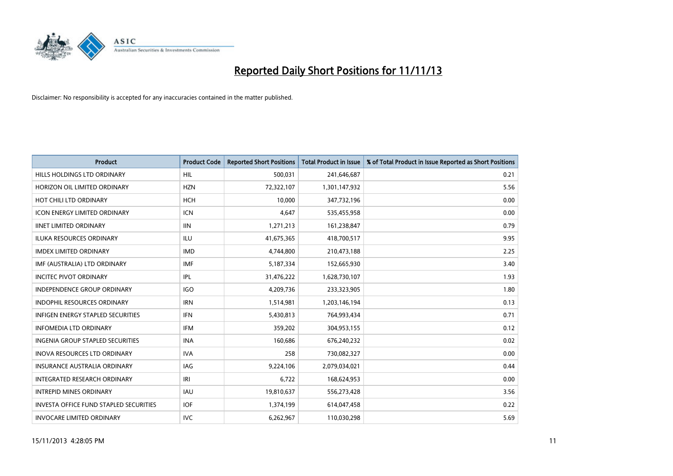

| <b>Product</b>                                | <b>Product Code</b> | <b>Reported Short Positions</b> | <b>Total Product in Issue</b> | % of Total Product in Issue Reported as Short Positions |
|-----------------------------------------------|---------------------|---------------------------------|-------------------------------|---------------------------------------------------------|
| HILLS HOLDINGS LTD ORDINARY                   | <b>HIL</b>          | 500,031                         | 241,646,687                   | 0.21                                                    |
| HORIZON OIL LIMITED ORDINARY                  | <b>HZN</b>          | 72,322,107                      | 1,301,147,932                 | 5.56                                                    |
| HOT CHILI LTD ORDINARY                        | <b>HCH</b>          | 10,000                          | 347,732,196                   | 0.00                                                    |
| <b>ICON ENERGY LIMITED ORDINARY</b>           | <b>ICN</b>          | 4,647                           | 535,455,958                   | 0.00                                                    |
| <b>IINET LIMITED ORDINARY</b>                 | <b>IIN</b>          | 1,271,213                       | 161,238,847                   | 0.79                                                    |
| <b>ILUKA RESOURCES ORDINARY</b>               | <b>ILU</b>          | 41,675,365                      | 418,700,517                   | 9.95                                                    |
| <b>IMDEX LIMITED ORDINARY</b>                 | <b>IMD</b>          | 4,744,800                       | 210,473,188                   | 2.25                                                    |
| IMF (AUSTRALIA) LTD ORDINARY                  | <b>IMF</b>          | 5,187,334                       | 152,665,930                   | 3.40                                                    |
| <b>INCITEC PIVOT ORDINARY</b>                 | IPL                 | 31,476,222                      | 1,628,730,107                 | 1.93                                                    |
| <b>INDEPENDENCE GROUP ORDINARY</b>            | <b>IGO</b>          | 4,209,736                       | 233,323,905                   | 1.80                                                    |
| INDOPHIL RESOURCES ORDINARY                   | <b>IRN</b>          | 1,514,981                       | 1,203,146,194                 | 0.13                                                    |
| <b>INFIGEN ENERGY STAPLED SECURITIES</b>      | <b>IFN</b>          | 5,430,813                       | 764,993,434                   | 0.71                                                    |
| <b>INFOMEDIA LTD ORDINARY</b>                 | <b>IFM</b>          | 359,202                         | 304,953,155                   | 0.12                                                    |
| <b>INGENIA GROUP STAPLED SECURITIES</b>       | <b>INA</b>          | 160,686                         | 676,240,232                   | 0.02                                                    |
| <b>INOVA RESOURCES LTD ORDINARY</b>           | <b>IVA</b>          | 258                             | 730,082,327                   | 0.00                                                    |
| INSURANCE AUSTRALIA ORDINARY                  | IAG                 | 9,224,106                       | 2,079,034,021                 | 0.44                                                    |
| INTEGRATED RESEARCH ORDINARY                  | IRI                 | 6,722                           | 168,624,953                   | 0.00                                                    |
| <b>INTREPID MINES ORDINARY</b>                | <b>IAU</b>          | 19,810,637                      | 556,273,428                   | 3.56                                                    |
| <b>INVESTA OFFICE FUND STAPLED SECURITIES</b> | <b>IOF</b>          | 1,374,199                       | 614,047,458                   | 0.22                                                    |
| <b>INVOCARE LIMITED ORDINARY</b>              | <b>IVC</b>          | 6,262,967                       | 110,030,298                   | 5.69                                                    |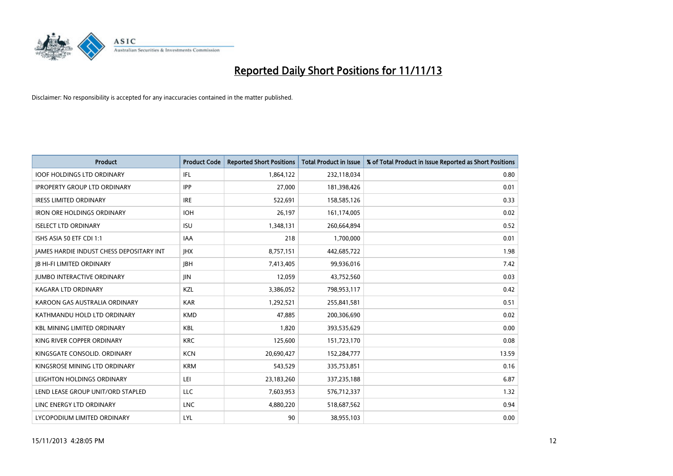

| <b>Product</b>                           | <b>Product Code</b> | <b>Reported Short Positions</b> | Total Product in Issue | % of Total Product in Issue Reported as Short Positions |
|------------------------------------------|---------------------|---------------------------------|------------------------|---------------------------------------------------------|
| <b>IOOF HOLDINGS LTD ORDINARY</b>        | IFL                 | 1,864,122                       | 232,118,034            | 0.80                                                    |
| <b>IPROPERTY GROUP LTD ORDINARY</b>      | <b>IPP</b>          | 27,000                          | 181,398,426            | 0.01                                                    |
| <b>IRESS LIMITED ORDINARY</b>            | <b>IRE</b>          | 522,691                         | 158,585,126            | 0.33                                                    |
| <b>IRON ORE HOLDINGS ORDINARY</b>        | <b>IOH</b>          | 26,197                          | 161,174,005            | 0.02                                                    |
| <b>ISELECT LTD ORDINARY</b>              | <b>ISU</b>          | 1,348,131                       | 260,664,894            | 0.52                                                    |
| ISHS ASIA 50 ETF CDI 1:1                 | <b>IAA</b>          | 218                             | 1,700,000              | 0.01                                                    |
| JAMES HARDIE INDUST CHESS DEPOSITARY INT | <b>JHX</b>          | 8,757,151                       | 442,685,722            | 1.98                                                    |
| <b>JB HI-FI LIMITED ORDINARY</b>         | <b>IBH</b>          | 7,413,405                       | 99,936,016             | 7.42                                                    |
| <b>JUMBO INTERACTIVE ORDINARY</b>        | JIN                 | 12,059                          | 43,752,560             | 0.03                                                    |
| <b>KAGARA LTD ORDINARY</b>               | KZL                 | 3,386,052                       | 798,953,117            | 0.42                                                    |
| KAROON GAS AUSTRALIA ORDINARY            | <b>KAR</b>          | 1,292,521                       | 255,841,581            | 0.51                                                    |
| KATHMANDU HOLD LTD ORDINARY              | <b>KMD</b>          | 47,885                          | 200,306,690            | 0.02                                                    |
| <b>KBL MINING LIMITED ORDINARY</b>       | <b>KBL</b>          | 1,820                           | 393,535,629            | 0.00                                                    |
| KING RIVER COPPER ORDINARY               | <b>KRC</b>          | 125,600                         | 151,723,170            | 0.08                                                    |
| KINGSGATE CONSOLID. ORDINARY             | <b>KCN</b>          | 20,690,427                      | 152,284,777            | 13.59                                                   |
| KINGSROSE MINING LTD ORDINARY            | <b>KRM</b>          | 543,529                         | 335,753,851            | 0.16                                                    |
| LEIGHTON HOLDINGS ORDINARY               | LEI                 | 23,183,260                      | 337,235,188            | 6.87                                                    |
| LEND LEASE GROUP UNIT/ORD STAPLED        | <b>LLC</b>          | 7,603,953                       | 576,712,337            | 1.32                                                    |
| LINC ENERGY LTD ORDINARY                 | <b>LNC</b>          | 4,880,220                       | 518,687,562            | 0.94                                                    |
| LYCOPODIUM LIMITED ORDINARY              | LYL                 | 90                              | 38,955,103             | 0.00                                                    |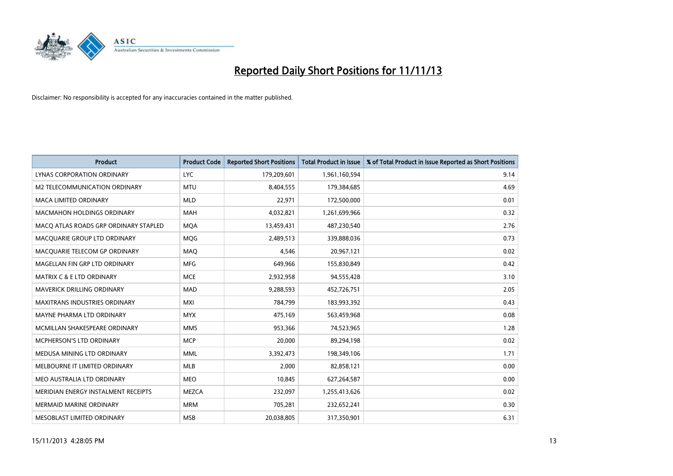

| <b>Product</b>                        | <b>Product Code</b> | <b>Reported Short Positions</b> | <b>Total Product in Issue</b> | % of Total Product in Issue Reported as Short Positions |
|---------------------------------------|---------------------|---------------------------------|-------------------------------|---------------------------------------------------------|
| LYNAS CORPORATION ORDINARY            | <b>LYC</b>          | 179,209,601                     | 1,961,160,594                 | 9.14                                                    |
| M2 TELECOMMUNICATION ORDINARY         | <b>MTU</b>          | 8,404,555                       | 179,384,685                   | 4.69                                                    |
| <b>MACA LIMITED ORDINARY</b>          | <b>MLD</b>          | 22,971                          | 172,500,000                   | 0.01                                                    |
| <b>MACMAHON HOLDINGS ORDINARY</b>     | <b>MAH</b>          | 4,032,821                       | 1,261,699,966                 | 0.32                                                    |
| MACO ATLAS ROADS GRP ORDINARY STAPLED | <b>MOA</b>          | 13,459,431                      | 487,230,540                   | 2.76                                                    |
| MACQUARIE GROUP LTD ORDINARY          | <b>MQG</b>          | 2,489,513                       | 339,888,036                   | 0.73                                                    |
| MACQUARIE TELECOM GP ORDINARY         | MAQ                 | 4,546                           | 20,967,121                    | 0.02                                                    |
| MAGELLAN FIN GRP LTD ORDINARY         | <b>MFG</b>          | 649,966                         | 155,830,849                   | 0.42                                                    |
| <b>MATRIX C &amp; E LTD ORDINARY</b>  | <b>MCE</b>          | 2,932,958                       | 94,555,428                    | 3.10                                                    |
| MAVERICK DRILLING ORDINARY            | MAD                 | 9,288,593                       | 452,726,751                   | 2.05                                                    |
| MAXITRANS INDUSTRIES ORDINARY         | <b>MXI</b>          | 784,799                         | 183,993,392                   | 0.43                                                    |
| MAYNE PHARMA LTD ORDINARY             | <b>MYX</b>          | 475,169                         | 563,459,968                   | 0.08                                                    |
| MCMILLAN SHAKESPEARE ORDINARY         | <b>MMS</b>          | 953,366                         | 74,523,965                    | 1.28                                                    |
| <b>MCPHERSON'S LTD ORDINARY</b>       | <b>MCP</b>          | 20,000                          | 89,294,198                    | 0.02                                                    |
| MEDUSA MINING LTD ORDINARY            | <b>MML</b>          | 3,392,473                       | 198,349,106                   | 1.71                                                    |
| MELBOURNE IT LIMITED ORDINARY         | <b>MLB</b>          | 2,000                           | 82,858,121                    | 0.00                                                    |
| MEO AUSTRALIA LTD ORDINARY            | MEO                 | 10,845                          | 627,264,587                   | 0.00                                                    |
| MERIDIAN ENERGY INSTALMENT RECEIPTS   | <b>MEZCA</b>        | 232,097                         | 1,255,413,626                 | 0.02                                                    |
| <b>MERMAID MARINE ORDINARY</b>        | <b>MRM</b>          | 705,281                         | 232,652,241                   | 0.30                                                    |
| MESOBLAST LIMITED ORDINARY            | <b>MSB</b>          | 20,038,805                      | 317,350,901                   | 6.31                                                    |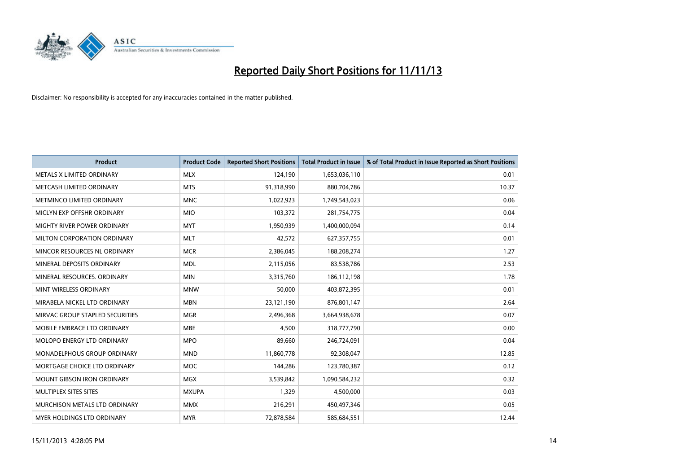

| <b>Product</b>                  | <b>Product Code</b> | <b>Reported Short Positions</b> | <b>Total Product in Issue</b> | % of Total Product in Issue Reported as Short Positions |
|---------------------------------|---------------------|---------------------------------|-------------------------------|---------------------------------------------------------|
| METALS X LIMITED ORDINARY       | <b>MLX</b>          | 124,190                         | 1,653,036,110                 | 0.01                                                    |
| METCASH LIMITED ORDINARY        | <b>MTS</b>          | 91,318,990                      | 880,704,786                   | 10.37                                                   |
| METMINCO LIMITED ORDINARY       | <b>MNC</b>          | 1,022,923                       | 1,749,543,023                 | 0.06                                                    |
| MICLYN EXP OFFSHR ORDINARY      | <b>MIO</b>          | 103,372                         | 281,754,775                   | 0.04                                                    |
| MIGHTY RIVER POWER ORDINARY     | <b>MYT</b>          | 1,950,939                       | 1,400,000,094                 | 0.14                                                    |
| MILTON CORPORATION ORDINARY     | <b>MLT</b>          | 42,572                          | 627,357,755                   | 0.01                                                    |
| MINCOR RESOURCES NL ORDINARY    | <b>MCR</b>          | 2,386,045                       | 188,208,274                   | 1.27                                                    |
| MINERAL DEPOSITS ORDINARY       | <b>MDL</b>          | 2,115,056                       | 83,538,786                    | 2.53                                                    |
| MINERAL RESOURCES, ORDINARY     | <b>MIN</b>          | 3,315,760                       | 186,112,198                   | 1.78                                                    |
| MINT WIRELESS ORDINARY          | <b>MNW</b>          | 50,000                          | 403,872,395                   | 0.01                                                    |
| MIRABELA NICKEL LTD ORDINARY    | <b>MBN</b>          | 23,121,190                      | 876,801,147                   | 2.64                                                    |
| MIRVAC GROUP STAPLED SECURITIES | <b>MGR</b>          | 2,496,368                       | 3,664,938,678                 | 0.07                                                    |
| MOBILE EMBRACE LTD ORDINARY     | <b>MBE</b>          | 4,500                           | 318,777,790                   | 0.00                                                    |
| MOLOPO ENERGY LTD ORDINARY      | <b>MPO</b>          | 89,660                          | 246,724,091                   | 0.04                                                    |
| MONADELPHOUS GROUP ORDINARY     | <b>MND</b>          | 11,860,778                      | 92,308,047                    | 12.85                                                   |
| MORTGAGE CHOICE LTD ORDINARY    | MOC                 | 144,286                         | 123,780,387                   | 0.12                                                    |
| MOUNT GIBSON IRON ORDINARY      | <b>MGX</b>          | 3,539,842                       | 1,090,584,232                 | 0.32                                                    |
| MULTIPLEX SITES SITES           | <b>MXUPA</b>        | 1,329                           | 4,500,000                     | 0.03                                                    |
| MURCHISON METALS LTD ORDINARY   | <b>MMX</b>          | 216,291                         | 450,497,346                   | 0.05                                                    |
| MYER HOLDINGS LTD ORDINARY      | <b>MYR</b>          | 72,878,584                      | 585,684,551                   | 12.44                                                   |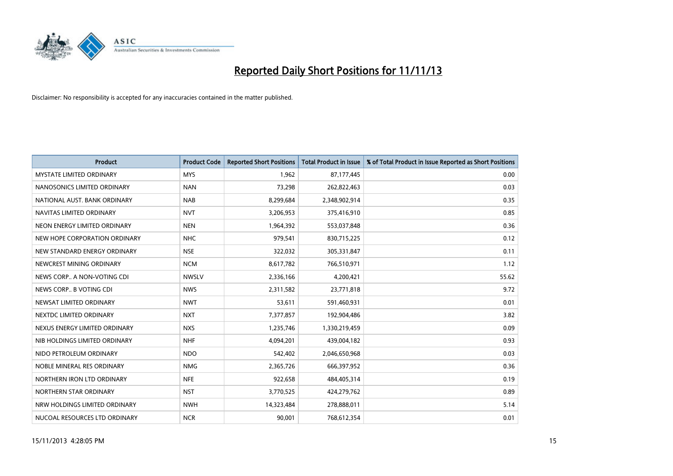

| <b>Product</b>                  | <b>Product Code</b> | <b>Reported Short Positions</b> | <b>Total Product in Issue</b> | % of Total Product in Issue Reported as Short Positions |
|---------------------------------|---------------------|---------------------------------|-------------------------------|---------------------------------------------------------|
| <b>MYSTATE LIMITED ORDINARY</b> | <b>MYS</b>          | 1,962                           | 87,177,445                    | 0.00                                                    |
| NANOSONICS LIMITED ORDINARY     | <b>NAN</b>          | 73,298                          | 262,822,463                   | 0.03                                                    |
| NATIONAL AUST. BANK ORDINARY    | <b>NAB</b>          | 8,299,684                       | 2,348,902,914                 | 0.35                                                    |
| NAVITAS LIMITED ORDINARY        | <b>NVT</b>          | 3,206,953                       | 375,416,910                   | 0.85                                                    |
| NEON ENERGY LIMITED ORDINARY    | <b>NEN</b>          | 1,964,392                       | 553,037,848                   | 0.36                                                    |
| NEW HOPE CORPORATION ORDINARY   | <b>NHC</b>          | 979,541                         | 830,715,225                   | 0.12                                                    |
| NEW STANDARD ENERGY ORDINARY    | <b>NSE</b>          | 322,032                         | 305,331,847                   | 0.11                                                    |
| NEWCREST MINING ORDINARY        | <b>NCM</b>          | 8,617,782                       | 766,510,971                   | 1.12                                                    |
| NEWS CORP A NON-VOTING CDI      | <b>NWSLV</b>        | 2,336,166                       | 4,200,421                     | 55.62                                                   |
| NEWS CORP B VOTING CDI          | <b>NWS</b>          | 2,311,582                       | 23,771,818                    | 9.72                                                    |
| NEWSAT LIMITED ORDINARY         | <b>NWT</b>          | 53,611                          | 591,460,931                   | 0.01                                                    |
| NEXTDC LIMITED ORDINARY         | <b>NXT</b>          | 7,377,857                       | 192,904,486                   | 3.82                                                    |
| NEXUS ENERGY LIMITED ORDINARY   | <b>NXS</b>          | 1,235,746                       | 1,330,219,459                 | 0.09                                                    |
| NIB HOLDINGS LIMITED ORDINARY   | <b>NHF</b>          | 4,094,201                       | 439,004,182                   | 0.93                                                    |
| NIDO PETROLEUM ORDINARY         | <b>NDO</b>          | 542,402                         | 2,046,650,968                 | 0.03                                                    |
| NOBLE MINERAL RES ORDINARY      | <b>NMG</b>          | 2,365,726                       | 666,397,952                   | 0.36                                                    |
| NORTHERN IRON LTD ORDINARY      | <b>NFE</b>          | 922,658                         | 484,405,314                   | 0.19                                                    |
| NORTHERN STAR ORDINARY          | <b>NST</b>          | 3,770,525                       | 424,279,762                   | 0.89                                                    |
| NRW HOLDINGS LIMITED ORDINARY   | <b>NWH</b>          | 14,323,484                      | 278,888,011                   | 5.14                                                    |
| NUCOAL RESOURCES LTD ORDINARY   | <b>NCR</b>          | 90,001                          | 768,612,354                   | 0.01                                                    |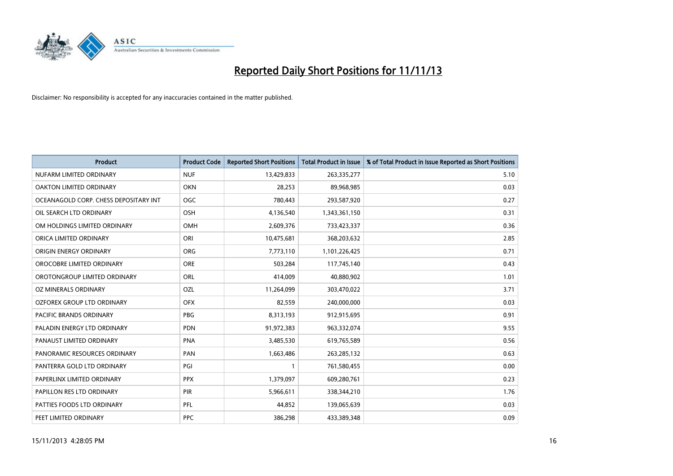

| <b>Product</b>                        | <b>Product Code</b> | <b>Reported Short Positions</b> | <b>Total Product in Issue</b> | % of Total Product in Issue Reported as Short Positions |
|---------------------------------------|---------------------|---------------------------------|-------------------------------|---------------------------------------------------------|
| NUFARM LIMITED ORDINARY               | <b>NUF</b>          | 13,429,833                      | 263,335,277                   | 5.10                                                    |
| OAKTON LIMITED ORDINARY               | <b>OKN</b>          | 28,253                          | 89,968,985                    | 0.03                                                    |
| OCEANAGOLD CORP. CHESS DEPOSITARY INT | <b>OGC</b>          | 780,443                         | 293,587,920                   | 0.27                                                    |
| OIL SEARCH LTD ORDINARY               | OSH                 | 4,136,540                       | 1,343,361,150                 | 0.31                                                    |
| OM HOLDINGS LIMITED ORDINARY          | OMH                 | 2,609,376                       | 733,423,337                   | 0.36                                                    |
| ORICA LIMITED ORDINARY                | ORI                 | 10,475,681                      | 368,203,632                   | 2.85                                                    |
| ORIGIN ENERGY ORDINARY                | <b>ORG</b>          | 7,773,110                       | 1,101,226,425                 | 0.71                                                    |
| OROCOBRE LIMITED ORDINARY             | <b>ORE</b>          | 503,284                         | 117,745,140                   | 0.43                                                    |
| OROTONGROUP LIMITED ORDINARY          | ORL                 | 414,009                         | 40,880,902                    | 1.01                                                    |
| <b>OZ MINERALS ORDINARY</b>           | <b>OZL</b>          | 11,264,099                      | 303,470,022                   | 3.71                                                    |
| OZFOREX GROUP LTD ORDINARY            | <b>OFX</b>          | 82,559                          | 240,000,000                   | 0.03                                                    |
| PACIFIC BRANDS ORDINARY               | <b>PBG</b>          | 8,313,193                       | 912,915,695                   | 0.91                                                    |
| PALADIN ENERGY LTD ORDINARY           | <b>PDN</b>          | 91,972,383                      | 963,332,074                   | 9.55                                                    |
| PANAUST LIMITED ORDINARY              | <b>PNA</b>          | 3,485,530                       | 619,765,589                   | 0.56                                                    |
| PANORAMIC RESOURCES ORDINARY          | PAN                 | 1,663,486                       | 263,285,132                   | 0.63                                                    |
| PANTERRA GOLD LTD ORDINARY            | PGI                 | -1                              | 761,580,455                   | 0.00                                                    |
| PAPERLINX LIMITED ORDINARY            | <b>PPX</b>          | 1,379,097                       | 609,280,761                   | 0.23                                                    |
| PAPILLON RES LTD ORDINARY             | PIR                 | 5,966,611                       | 338,344,210                   | 1.76                                                    |
| PATTIES FOODS LTD ORDINARY            | <b>PFL</b>          | 44,852                          | 139,065,639                   | 0.03                                                    |
| PEET LIMITED ORDINARY                 | <b>PPC</b>          | 386,298                         | 433,389,348                   | 0.09                                                    |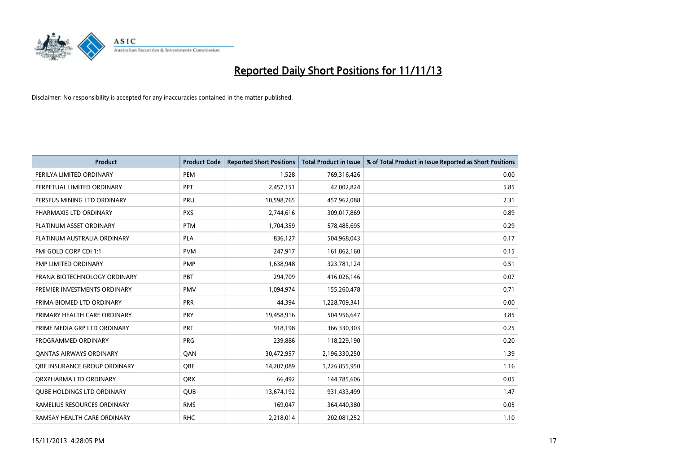

| <b>Product</b>                    | <b>Product Code</b> | <b>Reported Short Positions</b> | <b>Total Product in Issue</b> | % of Total Product in Issue Reported as Short Positions |
|-----------------------------------|---------------------|---------------------------------|-------------------------------|---------------------------------------------------------|
| PERILYA LIMITED ORDINARY          | PEM                 | 1,528                           | 769,316,426                   | 0.00                                                    |
| PERPETUAL LIMITED ORDINARY        | <b>PPT</b>          | 2,457,151                       | 42,002,824                    | 5.85                                                    |
| PERSEUS MINING LTD ORDINARY       | <b>PRU</b>          | 10,598,765                      | 457,962,088                   | 2.31                                                    |
| PHARMAXIS LTD ORDINARY            | <b>PXS</b>          | 2,744,616                       | 309,017,869                   | 0.89                                                    |
| PLATINUM ASSET ORDINARY           | <b>PTM</b>          | 1,704,359                       | 578,485,695                   | 0.29                                                    |
| PLATINUM AUSTRALIA ORDINARY       | <b>PLA</b>          | 836,127                         | 504,968,043                   | 0.17                                                    |
| PMI GOLD CORP CDI 1:1             | <b>PVM</b>          | 247,917                         | 161,862,160                   | 0.15                                                    |
| PMP LIMITED ORDINARY              | <b>PMP</b>          | 1,638,948                       | 323,781,124                   | 0.51                                                    |
| PRANA BIOTECHNOLOGY ORDINARY      | PBT                 | 294,709                         | 416,026,146                   | 0.07                                                    |
| PREMIER INVESTMENTS ORDINARY      | <b>PMV</b>          | 1,094,974                       | 155,260,478                   | 0.71                                                    |
| PRIMA BIOMED LTD ORDINARY         | <b>PRR</b>          | 44,394                          | 1,228,709,341                 | 0.00                                                    |
| PRIMARY HEALTH CARE ORDINARY      | <b>PRY</b>          | 19,458,916                      | 504,956,647                   | 3.85                                                    |
| PRIME MEDIA GRP LTD ORDINARY      | <b>PRT</b>          | 918,198                         | 366,330,303                   | 0.25                                                    |
| PROGRAMMED ORDINARY               | <b>PRG</b>          | 239,886                         | 118,229,190                   | 0.20                                                    |
| <b>QANTAS AIRWAYS ORDINARY</b>    | QAN                 | 30,472,957                      | 2,196,330,250                 | 1.39                                                    |
| OBE INSURANCE GROUP ORDINARY      | <b>OBE</b>          | 14,207,089                      | 1,226,855,950                 | 1.16                                                    |
| ORXPHARMA LTD ORDINARY            | <b>QRX</b>          | 66,492                          | 144,785,606                   | 0.05                                                    |
| <b>QUBE HOLDINGS LTD ORDINARY</b> | QUB                 | 13,674,192                      | 931,433,499                   | 1.47                                                    |
| RAMELIUS RESOURCES ORDINARY       | <b>RMS</b>          | 169,047                         | 364,440,380                   | 0.05                                                    |
| RAMSAY HEALTH CARE ORDINARY       | <b>RHC</b>          | 2,218,014                       | 202,081,252                   | 1.10                                                    |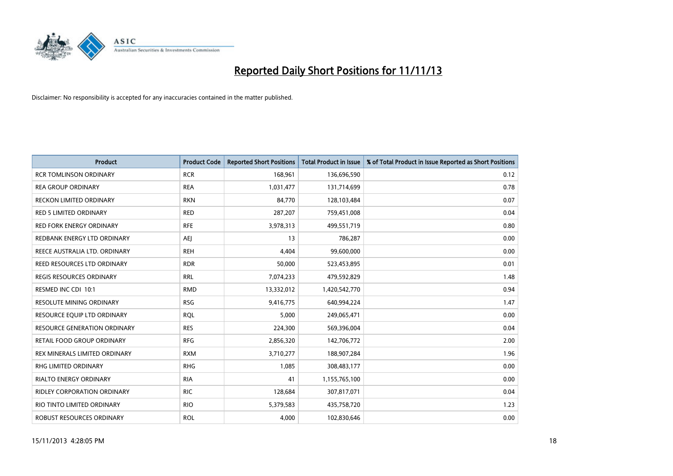

| Product                             | <b>Product Code</b> | <b>Reported Short Positions</b> | <b>Total Product in Issue</b> | % of Total Product in Issue Reported as Short Positions |
|-------------------------------------|---------------------|---------------------------------|-------------------------------|---------------------------------------------------------|
| <b>RCR TOMLINSON ORDINARY</b>       | <b>RCR</b>          | 168,961                         | 136,696,590                   | 0.12                                                    |
| REA GROUP ORDINARY                  | <b>REA</b>          | 1,031,477                       | 131,714,699                   | 0.78                                                    |
| <b>RECKON LIMITED ORDINARY</b>      | <b>RKN</b>          | 84,770                          | 128,103,484                   | 0.07                                                    |
| <b>RED 5 LIMITED ORDINARY</b>       | <b>RED</b>          | 287,207                         | 759,451,008                   | 0.04                                                    |
| <b>RED FORK ENERGY ORDINARY</b>     | <b>RFE</b>          | 3,978,313                       | 499,551,719                   | 0.80                                                    |
| REDBANK ENERGY LTD ORDINARY         | <b>AEJ</b>          | 13                              | 786,287                       | 0.00                                                    |
| REECE AUSTRALIA LTD. ORDINARY       | <b>REH</b>          | 4,404                           | 99,600,000                    | 0.00                                                    |
| REED RESOURCES LTD ORDINARY         | <b>RDR</b>          | 50,000                          | 523,453,895                   | 0.01                                                    |
| REGIS RESOURCES ORDINARY            | <b>RRL</b>          | 7,074,233                       | 479,592,829                   | 1.48                                                    |
| RESMED INC CDI 10:1                 | <b>RMD</b>          | 13,332,012                      | 1,420,542,770                 | 0.94                                                    |
| RESOLUTE MINING ORDINARY            | <b>RSG</b>          | 9,416,775                       | 640,994,224                   | 1.47                                                    |
| RESOURCE EQUIP LTD ORDINARY         | <b>ROL</b>          | 5,000                           | 249,065,471                   | 0.00                                                    |
| <b>RESOURCE GENERATION ORDINARY</b> | <b>RES</b>          | 224,300                         | 569,396,004                   | 0.04                                                    |
| RETAIL FOOD GROUP ORDINARY          | <b>RFG</b>          | 2,856,320                       | 142,706,772                   | 2.00                                                    |
| REX MINERALS LIMITED ORDINARY       | <b>RXM</b>          | 3,710,277                       | 188,907,284                   | 1.96                                                    |
| RHG LIMITED ORDINARY                | <b>RHG</b>          | 1,085                           | 308,483,177                   | 0.00                                                    |
| RIALTO ENERGY ORDINARY              | <b>RIA</b>          | 41                              | 1,155,765,100                 | 0.00                                                    |
| RIDLEY CORPORATION ORDINARY         | <b>RIC</b>          | 128,684                         | 307,817,071                   | 0.04                                                    |
| RIO TINTO LIMITED ORDINARY          | <b>RIO</b>          | 5,379,583                       | 435,758,720                   | 1.23                                                    |
| ROBUST RESOURCES ORDINARY           | <b>ROL</b>          | 4,000                           | 102,830,646                   | 0.00                                                    |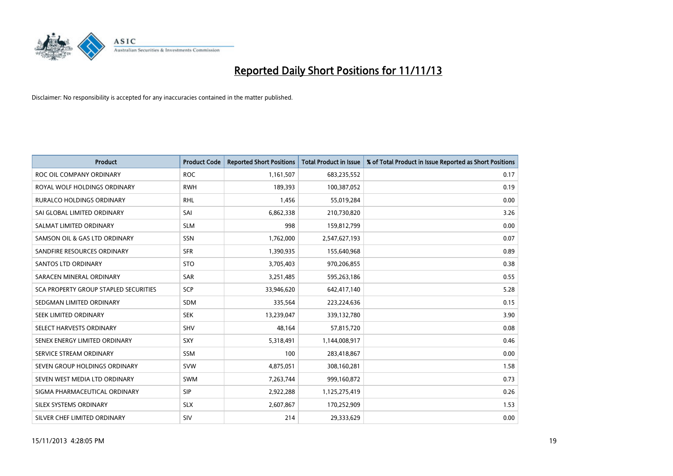

| <b>Product</b>                        | <b>Product Code</b> | <b>Reported Short Positions</b> | <b>Total Product in Issue</b> | % of Total Product in Issue Reported as Short Positions |
|---------------------------------------|---------------------|---------------------------------|-------------------------------|---------------------------------------------------------|
| ROC OIL COMPANY ORDINARY              | <b>ROC</b>          | 1,161,507                       | 683,235,552                   | 0.17                                                    |
| ROYAL WOLF HOLDINGS ORDINARY          | <b>RWH</b>          | 189,393                         | 100,387,052                   | 0.19                                                    |
| <b>RURALCO HOLDINGS ORDINARY</b>      | <b>RHL</b>          | 1,456                           | 55,019,284                    | 0.00                                                    |
| SAI GLOBAL LIMITED ORDINARY           | SAI                 | 6,862,338                       | 210,730,820                   | 3.26                                                    |
| SALMAT LIMITED ORDINARY               | <b>SLM</b>          | 998                             | 159,812,799                   | 0.00                                                    |
| SAMSON OIL & GAS LTD ORDINARY         | SSN                 | 1,762,000                       | 2,547,627,193                 | 0.07                                                    |
| SANDFIRE RESOURCES ORDINARY           | <b>SFR</b>          | 1,390,935                       | 155,640,968                   | 0.89                                                    |
| <b>SANTOS LTD ORDINARY</b>            | <b>STO</b>          | 3,705,403                       | 970,206,855                   | 0.38                                                    |
| SARACEN MINERAL ORDINARY              | SAR                 | 3,251,485                       | 595,263,186                   | 0.55                                                    |
| SCA PROPERTY GROUP STAPLED SECURITIES | <b>SCP</b>          | 33,946,620                      | 642,417,140                   | 5.28                                                    |
| SEDGMAN LIMITED ORDINARY              | SDM                 | 335,564                         | 223,224,636                   | 0.15                                                    |
| <b>SEEK LIMITED ORDINARY</b>          | <b>SEK</b>          | 13,239,047                      | 339,132,780                   | 3.90                                                    |
| SELECT HARVESTS ORDINARY              | SHV                 | 48,164                          | 57,815,720                    | 0.08                                                    |
| SENEX ENERGY LIMITED ORDINARY         | SXY                 | 5,318,491                       | 1,144,008,917                 | 0.46                                                    |
| SERVICE STREAM ORDINARY               | <b>SSM</b>          | 100                             | 283,418,867                   | 0.00                                                    |
| SEVEN GROUP HOLDINGS ORDINARY         | <b>SVW</b>          | 4,875,051                       | 308,160,281                   | 1.58                                                    |
| SEVEN WEST MEDIA LTD ORDINARY         | SWM                 | 7,263,744                       | 999,160,872                   | 0.73                                                    |
| SIGMA PHARMACEUTICAL ORDINARY         | <b>SIP</b>          | 2,922,288                       | 1,125,275,419                 | 0.26                                                    |
| SILEX SYSTEMS ORDINARY                | <b>SLX</b>          | 2,607,867                       | 170,252,909                   | 1.53                                                    |
| SILVER CHEF LIMITED ORDINARY          | SIV                 | 214                             | 29,333,629                    | 0.00                                                    |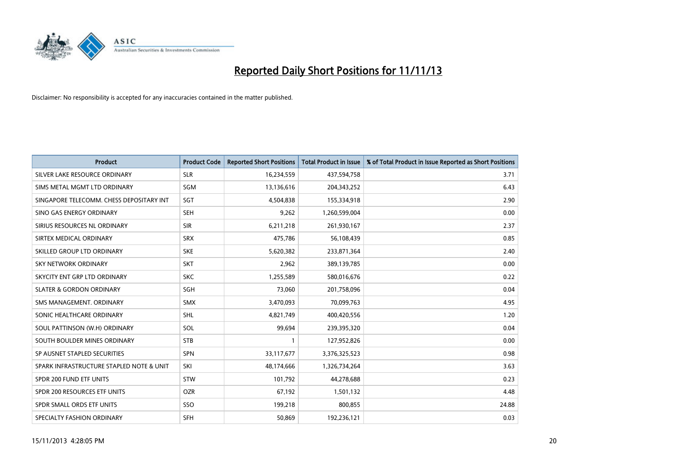

| <b>Product</b>                           | <b>Product Code</b> | <b>Reported Short Positions</b> | <b>Total Product in Issue</b> | % of Total Product in Issue Reported as Short Positions |
|------------------------------------------|---------------------|---------------------------------|-------------------------------|---------------------------------------------------------|
| SILVER LAKE RESOURCE ORDINARY            | <b>SLR</b>          | 16,234,559                      | 437,594,758                   | 3.71                                                    |
| SIMS METAL MGMT LTD ORDINARY             | <b>SGM</b>          | 13,136,616                      | 204,343,252                   | 6.43                                                    |
| SINGAPORE TELECOMM. CHESS DEPOSITARY INT | SGT                 | 4,504,838                       | 155,334,918                   | 2.90                                                    |
| SINO GAS ENERGY ORDINARY                 | <b>SEH</b>          | 9,262                           | 1,260,599,004                 | 0.00                                                    |
| SIRIUS RESOURCES NL ORDINARY             | <b>SIR</b>          | 6,211,218                       | 261,930,167                   | 2.37                                                    |
| SIRTEX MEDICAL ORDINARY                  | <b>SRX</b>          | 475,786                         | 56,108,439                    | 0.85                                                    |
| SKILLED GROUP LTD ORDINARY               | <b>SKE</b>          | 5,620,382                       | 233,871,364                   | 2.40                                                    |
| SKY NETWORK ORDINARY                     | <b>SKT</b>          | 2,962                           | 389,139,785                   | 0.00                                                    |
| SKYCITY ENT GRP LTD ORDINARY             | <b>SKC</b>          | 1,255,589                       | 580,016,676                   | 0.22                                                    |
| <b>SLATER &amp; GORDON ORDINARY</b>      | SGH                 | 73,060                          | 201,758,096                   | 0.04                                                    |
| SMS MANAGEMENT, ORDINARY                 | <b>SMX</b>          | 3,470,093                       | 70,099,763                    | 4.95                                                    |
| SONIC HEALTHCARE ORDINARY                | SHL                 | 4,821,749                       | 400,420,556                   | 1.20                                                    |
| SOUL PATTINSON (W.H) ORDINARY            | SOL                 | 99,694                          | 239,395,320                   | 0.04                                                    |
| SOUTH BOULDER MINES ORDINARY             | <b>STB</b>          | 1                               | 127,952,826                   | 0.00                                                    |
| SP AUSNET STAPLED SECURITIES             | <b>SPN</b>          | 33,117,677                      | 3,376,325,523                 | 0.98                                                    |
| SPARK INFRASTRUCTURE STAPLED NOTE & UNIT | SKI                 | 48,174,666                      | 1,326,734,264                 | 3.63                                                    |
| SPDR 200 FUND ETF UNITS                  | <b>STW</b>          | 101,792                         | 44,278,688                    | 0.23                                                    |
| SPDR 200 RESOURCES ETF UNITS             | <b>OZR</b>          | 67,192                          | 1,501,132                     | 4.48                                                    |
| SPDR SMALL ORDS ETF UNITS                | SSO                 | 199,218                         | 800,855                       | 24.88                                                   |
| SPECIALTY FASHION ORDINARY               | <b>SFH</b>          | 50,869                          | 192,236,121                   | 0.03                                                    |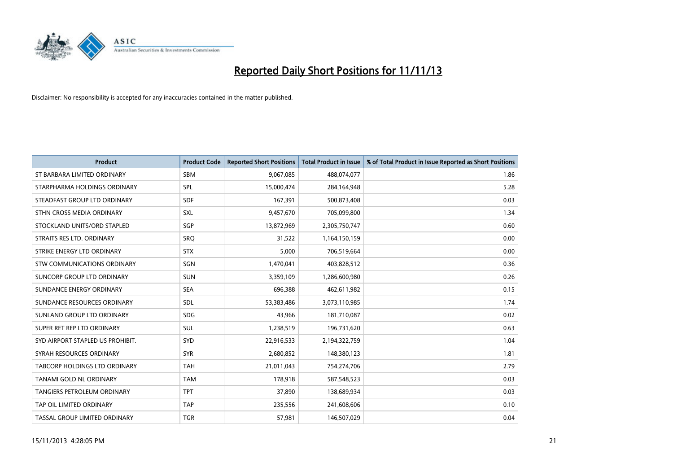

| <b>Product</b>                     | <b>Product Code</b> | <b>Reported Short Positions</b> | <b>Total Product in Issue</b> | % of Total Product in Issue Reported as Short Positions |
|------------------------------------|---------------------|---------------------------------|-------------------------------|---------------------------------------------------------|
| ST BARBARA LIMITED ORDINARY        | <b>SBM</b>          | 9,067,085                       | 488,074,077                   | 1.86                                                    |
| STARPHARMA HOLDINGS ORDINARY       | SPL                 | 15,000,474                      | 284,164,948                   | 5.28                                                    |
| STEADFAST GROUP LTD ORDINARY       | <b>SDF</b>          | 167,391                         | 500,873,408                   | 0.03                                                    |
| STHN CROSS MEDIA ORDINARY          | <b>SXL</b>          | 9,457,670                       | 705,099,800                   | 1.34                                                    |
| STOCKLAND UNITS/ORD STAPLED        | SGP                 | 13,872,969                      | 2,305,750,747                 | 0.60                                                    |
| STRAITS RES LTD. ORDINARY          | <b>SRQ</b>          | 31,522                          | 1,164,150,159                 | 0.00                                                    |
| STRIKE ENERGY LTD ORDINARY         | <b>STX</b>          | 5,000                           | 706,519,664                   | 0.00                                                    |
| STW COMMUNICATIONS ORDINARY        | SGN                 | 1,470,041                       | 403,828,512                   | 0.36                                                    |
| SUNCORP GROUP LTD ORDINARY         | <b>SUN</b>          | 3,359,109                       | 1,286,600,980                 | 0.26                                                    |
| SUNDANCE ENERGY ORDINARY           | <b>SEA</b>          | 696,388                         | 462,611,982                   | 0.15                                                    |
| SUNDANCE RESOURCES ORDINARY        | SDL                 | 53,383,486                      | 3,073,110,985                 | 1.74                                                    |
| SUNLAND GROUP LTD ORDINARY         | <b>SDG</b>          | 43,966                          | 181,710,087                   | 0.02                                                    |
| SUPER RET REP LTD ORDINARY         | SUL                 | 1,238,519                       | 196,731,620                   | 0.63                                                    |
| SYD AIRPORT STAPLED US PROHIBIT.   | <b>SYD</b>          | 22,916,533                      | 2,194,322,759                 | 1.04                                                    |
| SYRAH RESOURCES ORDINARY           | <b>SYR</b>          | 2,680,852                       | 148,380,123                   | 1.81                                                    |
| TABCORP HOLDINGS LTD ORDINARY      | <b>TAH</b>          | 21,011,043                      | 754,274,706                   | 2.79                                                    |
| TANAMI GOLD NL ORDINARY            | <b>TAM</b>          | 178,918                         | 587,548,523                   | 0.03                                                    |
| <b>TANGIERS PETROLEUM ORDINARY</b> | <b>TPT</b>          | 37,890                          | 138,689,934                   | 0.03                                                    |
| TAP OIL LIMITED ORDINARY           | <b>TAP</b>          | 235,556                         | 241,608,606                   | 0.10                                                    |
| TASSAL GROUP LIMITED ORDINARY      | <b>TGR</b>          | 57,981                          | 146,507,029                   | 0.04                                                    |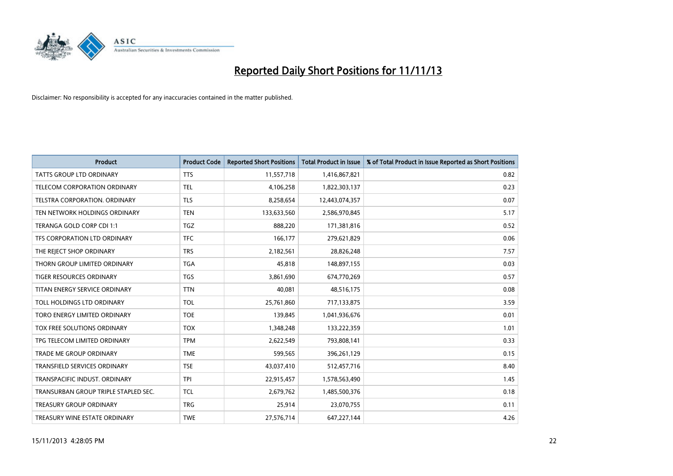

| <b>Product</b>                       | <b>Product Code</b> | <b>Reported Short Positions</b> | <b>Total Product in Issue</b> | % of Total Product in Issue Reported as Short Positions |
|--------------------------------------|---------------------|---------------------------------|-------------------------------|---------------------------------------------------------|
| <b>TATTS GROUP LTD ORDINARY</b>      | <b>TTS</b>          | 11,557,718                      | 1,416,867,821                 | 0.82                                                    |
| TELECOM CORPORATION ORDINARY         | <b>TEL</b>          | 4,106,258                       | 1,822,303,137                 | 0.23                                                    |
| TELSTRA CORPORATION. ORDINARY        | <b>TLS</b>          | 8,258,654                       | 12,443,074,357                | 0.07                                                    |
| TEN NETWORK HOLDINGS ORDINARY        | <b>TEN</b>          | 133,633,560                     | 2,586,970,845                 | 5.17                                                    |
| TERANGA GOLD CORP CDI 1:1            | <b>TGZ</b>          | 888,220                         | 171,381,816                   | 0.52                                                    |
| TFS CORPORATION LTD ORDINARY         | <b>TFC</b>          | 166,177                         | 279,621,829                   | 0.06                                                    |
| THE REJECT SHOP ORDINARY             | <b>TRS</b>          | 2,182,561                       | 28,826,248                    | 7.57                                                    |
| THORN GROUP LIMITED ORDINARY         | <b>TGA</b>          | 45,818                          | 148,897,155                   | 0.03                                                    |
| <b>TIGER RESOURCES ORDINARY</b>      | <b>TGS</b>          | 3,861,690                       | 674,770,269                   | 0.57                                                    |
| TITAN ENERGY SERVICE ORDINARY        | <b>TTN</b>          | 40,081                          | 48,516,175                    | 0.08                                                    |
| TOLL HOLDINGS LTD ORDINARY           | <b>TOL</b>          | 25,761,860                      | 717,133,875                   | 3.59                                                    |
| TORO ENERGY LIMITED ORDINARY         | <b>TOE</b>          | 139,845                         | 1,041,936,676                 | 0.01                                                    |
| TOX FREE SOLUTIONS ORDINARY          | <b>TOX</b>          | 1,348,248                       | 133,222,359                   | 1.01                                                    |
| TPG TELECOM LIMITED ORDINARY         | <b>TPM</b>          | 2,622,549                       | 793,808,141                   | 0.33                                                    |
| <b>TRADE ME GROUP ORDINARY</b>       | <b>TME</b>          | 599,565                         | 396,261,129                   | 0.15                                                    |
| TRANSFIELD SERVICES ORDINARY         | <b>TSE</b>          | 43,037,410                      | 512,457,716                   | 8.40                                                    |
| TRANSPACIFIC INDUST. ORDINARY        | <b>TPI</b>          | 22,915,457                      | 1,578,563,490                 | 1.45                                                    |
| TRANSURBAN GROUP TRIPLE STAPLED SEC. | <b>TCL</b>          | 2,679,762                       | 1,485,500,376                 | 0.18                                                    |
| <b>TREASURY GROUP ORDINARY</b>       | <b>TRG</b>          | 25,914                          | 23,070,755                    | 0.11                                                    |
| TREASURY WINE ESTATE ORDINARY        | <b>TWE</b>          | 27,576,714                      | 647,227,144                   | 4.26                                                    |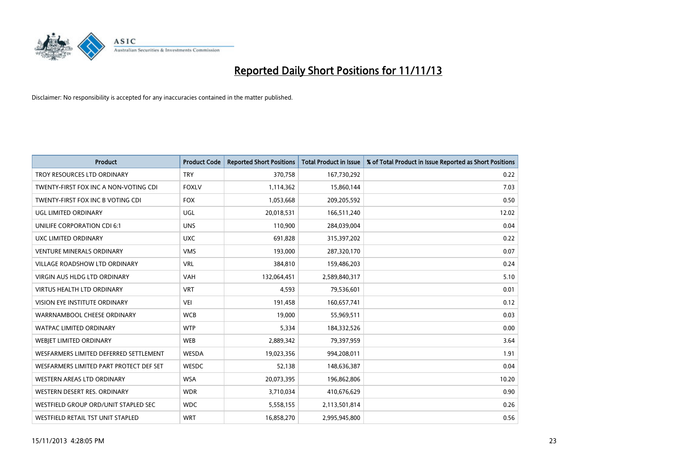

| <b>Product</b>                          | <b>Product Code</b> | <b>Reported Short Positions</b> | <b>Total Product in Issue</b> | % of Total Product in Issue Reported as Short Positions |
|-----------------------------------------|---------------------|---------------------------------|-------------------------------|---------------------------------------------------------|
| TROY RESOURCES LTD ORDINARY             | <b>TRY</b>          | 370,758                         | 167,730,292                   | 0.22                                                    |
| TWENTY-FIRST FOX INC A NON-VOTING CDI   | <b>FOXLV</b>        | 1,114,362                       | 15,860,144                    | 7.03                                                    |
| TWENTY-FIRST FOX INC B VOTING CDI       | <b>FOX</b>          | 1,053,668                       | 209,205,592                   | 0.50                                                    |
| <b>UGL LIMITED ORDINARY</b>             | UGL                 | 20,018,531                      | 166,511,240                   | 12.02                                                   |
| UNILIFE CORPORATION CDI 6:1             | <b>UNS</b>          | 110,900                         | 284,039,004                   | 0.04                                                    |
| UXC LIMITED ORDINARY                    | <b>UXC</b>          | 691,828                         | 315,397,202                   | 0.22                                                    |
| <b>VENTURE MINERALS ORDINARY</b>        | <b>VMS</b>          | 193,000                         | 287,320,170                   | 0.07                                                    |
| <b>VILLAGE ROADSHOW LTD ORDINARY</b>    | <b>VRL</b>          | 384,810                         | 159,486,203                   | 0.24                                                    |
| VIRGIN AUS HLDG LTD ORDINARY            | <b>VAH</b>          | 132,064,451                     | 2,589,840,317                 | 5.10                                                    |
| <b>VIRTUS HEALTH LTD ORDINARY</b>       | <b>VRT</b>          | 4,593                           | 79,536,601                    | 0.01                                                    |
| <b>VISION EYE INSTITUTE ORDINARY</b>    | <b>VEI</b>          | 191,458                         | 160,657,741                   | 0.12                                                    |
| WARRNAMBOOL CHEESE ORDINARY             | <b>WCB</b>          | 19,000                          | 55,969,511                    | 0.03                                                    |
| <b>WATPAC LIMITED ORDINARY</b>          | <b>WTP</b>          | 5,334                           | 184,332,526                   | 0.00                                                    |
| <b>WEBIET LIMITED ORDINARY</b>          | <b>WEB</b>          | 2,889,342                       | 79,397,959                    | 3.64                                                    |
| WESFARMERS LIMITED DEFERRED SETTLEMENT  | WESDA               | 19,023,356                      | 994,208,011                   | 1.91                                                    |
| WESFARMERS LIMITED PART PROTECT DEF SET | WESDC               | 52,138                          | 148,636,387                   | 0.04                                                    |
| WESTERN AREAS LTD ORDINARY              | <b>WSA</b>          | 20,073,395                      | 196,862,806                   | 10.20                                                   |
| WESTERN DESERT RES. ORDINARY            | <b>WDR</b>          | 3,710,034                       | 410,676,629                   | 0.90                                                    |
| WESTFIELD GROUP ORD/UNIT STAPLED SEC    | <b>WDC</b>          | 5,558,155                       | 2,113,501,814                 | 0.26                                                    |
| WESTFIELD RETAIL TST UNIT STAPLED       | <b>WRT</b>          | 16,858,270                      | 2,995,945,800                 | 0.56                                                    |